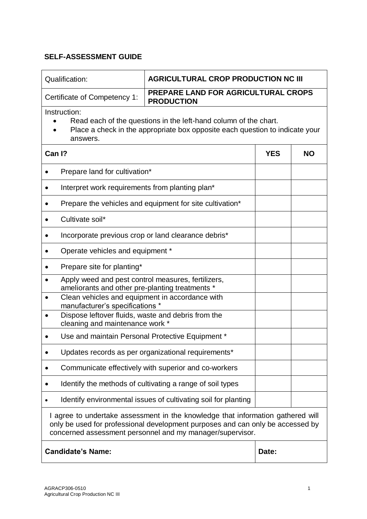| Qualification:                                                                                                                                                                                                                 | <b>AGRICULTURAL CROP PRODUCTION NC III</b>                     |            |           |  |
|--------------------------------------------------------------------------------------------------------------------------------------------------------------------------------------------------------------------------------|----------------------------------------------------------------|------------|-----------|--|
| <b>PREPARE LAND FOR AGRICULTURAL CROPS</b><br>Certificate of Competency 1:<br><b>PRODUCTION</b>                                                                                                                                |                                                                |            |           |  |
| Instruction:<br>Read each of the questions in the left-hand column of the chart.<br>Place a check in the appropriate box opposite each question to indicate your<br>answers.                                                   |                                                                |            |           |  |
| Can I?                                                                                                                                                                                                                         |                                                                | <b>YES</b> | <b>NO</b> |  |
| Prepare land for cultivation*                                                                                                                                                                                                  |                                                                |            |           |  |
| Interpret work requirements from planting plan <sup>*</sup>                                                                                                                                                                    |                                                                |            |           |  |
|                                                                                                                                                                                                                                | Prepare the vehicles and equipment for site cultivation*       |            |           |  |
| Cultivate soil*                                                                                                                                                                                                                |                                                                |            |           |  |
| Incorporate previous crop or land clearance debris*                                                                                                                                                                            |                                                                |            |           |  |
| Operate vehicles and equipment *                                                                                                                                                                                               |                                                                |            |           |  |
| Prepare site for planting*                                                                                                                                                                                                     |                                                                |            |           |  |
| Apply weed and pest control measures, fertilizers,<br>ameliorants and other pre-planting treatments *                                                                                                                          |                                                                |            |           |  |
| Clean vehicles and equipment in accordance with<br>$\bullet$<br>manufacturer's specifications *                                                                                                                                |                                                                |            |           |  |
| Dispose leftover fluids, waste and debris from the<br>$\bullet$<br>cleaning and maintenance work *                                                                                                                             |                                                                |            |           |  |
| Use and maintain Personal Protective Equipment *                                                                                                                                                                               |                                                                |            |           |  |
|                                                                                                                                                                                                                                | Updates records as per organizational requirements*            |            |           |  |
|                                                                                                                                                                                                                                | Communicate effectively with superior and co-workers           |            |           |  |
|                                                                                                                                                                                                                                | Identify the methods of cultivating a range of soil types      |            |           |  |
|                                                                                                                                                                                                                                | Identify environmental issues of cultivating soil for planting |            |           |  |
| I agree to undertake assessment in the knowledge that information gathered will<br>only be used for professional development purposes and can only be accessed by<br>concerned assessment personnel and my manager/supervisor. |                                                                |            |           |  |
| <b>Candidate's Name:</b><br>Date:                                                                                                                                                                                              |                                                                |            |           |  |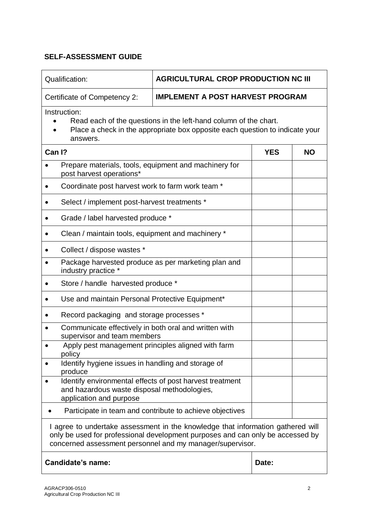| Qualification:                                                                                                                                                                                                                 | <b>AGRICULTURAL CROP PRODUCTION NC III</b>                                                                                                       |            |           |  |  |
|--------------------------------------------------------------------------------------------------------------------------------------------------------------------------------------------------------------------------------|--------------------------------------------------------------------------------------------------------------------------------------------------|------------|-----------|--|--|
| <b>IMPLEMENT A POST HARVEST PROGRAM</b><br>Certificate of Competency 2:                                                                                                                                                        |                                                                                                                                                  |            |           |  |  |
| Instruction:<br>answers.                                                                                                                                                                                                       | Read each of the questions in the left-hand column of the chart.<br>Place a check in the appropriate box opposite each question to indicate your |            |           |  |  |
| Can I?                                                                                                                                                                                                                         |                                                                                                                                                  | <b>YES</b> | <b>NO</b> |  |  |
| Prepare materials, tools, equipment and machinery for<br>post harvest operations*                                                                                                                                              |                                                                                                                                                  |            |           |  |  |
| Coordinate post harvest work to farm work team *                                                                                                                                                                               |                                                                                                                                                  |            |           |  |  |
| Select / implement post-harvest treatments *                                                                                                                                                                                   |                                                                                                                                                  |            |           |  |  |
| Grade / label harvested produce *                                                                                                                                                                                              |                                                                                                                                                  |            |           |  |  |
| Clean / maintain tools, equipment and machinery *                                                                                                                                                                              |                                                                                                                                                  |            |           |  |  |
| Collect / dispose wastes *                                                                                                                                                                                                     |                                                                                                                                                  |            |           |  |  |
| Package harvested produce as per marketing plan and<br>industry practice *                                                                                                                                                     |                                                                                                                                                  |            |           |  |  |
| Store / handle harvested produce *                                                                                                                                                                                             |                                                                                                                                                  |            |           |  |  |
| Use and maintain Personal Protective Equipment*                                                                                                                                                                                |                                                                                                                                                  |            |           |  |  |
| Record packaging and storage processes *                                                                                                                                                                                       |                                                                                                                                                  |            |           |  |  |
| Communicate effectively in both oral and written with<br>supervisor and team members                                                                                                                                           |                                                                                                                                                  |            |           |  |  |
| Apply pest management principles aligned with farm<br>policy                                                                                                                                                                   |                                                                                                                                                  |            |           |  |  |
| Identify hygiene issues in handling and storage of<br>$\bullet$<br>produce                                                                                                                                                     |                                                                                                                                                  |            |           |  |  |
| Identify environmental effects of post harvest treatment<br>and hazardous waste disposal methodologies,<br>application and purpose                                                                                             |                                                                                                                                                  |            |           |  |  |
|                                                                                                                                                                                                                                | Participate in team and contribute to achieve objectives                                                                                         |            |           |  |  |
| I agree to undertake assessment in the knowledge that information gathered will<br>only be used for professional development purposes and can only be accessed by<br>concerned assessment personnel and my manager/supervisor. |                                                                                                                                                  |            |           |  |  |
| Candidate's name:<br>Date:                                                                                                                                                                                                     |                                                                                                                                                  |            |           |  |  |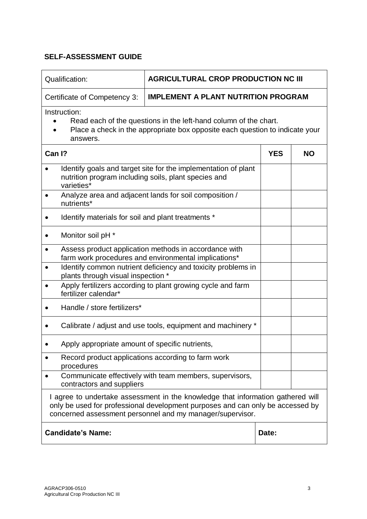| Qualification:<br><b>AGRICULTURAL CROP PRODUCTION NC III</b>                                                                                                                                                                   |                                                                |            |           |  |
|--------------------------------------------------------------------------------------------------------------------------------------------------------------------------------------------------------------------------------|----------------------------------------------------------------|------------|-----------|--|
| Certificate of Competency 3:                                                                                                                                                                                                   | <b>IMPLEMENT A PLANT NUTRITION PROGRAM</b>                     |            |           |  |
| Instruction:<br>Read each of the questions in the left-hand column of the chart.<br>Place a check in the appropriate box opposite each question to indicate your<br>answers.                                                   |                                                                |            |           |  |
| Can I?                                                                                                                                                                                                                         |                                                                | <b>YES</b> | <b>NO</b> |  |
| $\bullet$<br>nutrition program including soils, plant species and<br>varieties*                                                                                                                                                | Identify goals and target site for the implementation of plant |            |           |  |
| $\bullet$<br>nutrients*                                                                                                                                                                                                        | Analyze area and adjacent lands for soil composition /         |            |           |  |
| Identify materials for soil and plant treatments *                                                                                                                                                                             |                                                                |            |           |  |
| Monitor soil pH *<br>٠                                                                                                                                                                                                         |                                                                |            |           |  |
| Assess product application methods in accordance with<br>٠<br>farm work procedures and environmental implications*                                                                                                             |                                                                |            |           |  |
| Identify common nutrient deficiency and toxicity problems in<br>$\bullet$<br>plants through visual inspection *                                                                                                                |                                                                |            |           |  |
| fertilizer calendar*                                                                                                                                                                                                           | Apply fertilizers according to plant growing cycle and farm    |            |           |  |
| Handle / store fertilizers*                                                                                                                                                                                                    |                                                                |            |           |  |
|                                                                                                                                                                                                                                | Calibrate / adjust and use tools, equipment and machinery *    |            |           |  |
| Apply appropriate amount of specific nutrients,                                                                                                                                                                                |                                                                |            |           |  |
| procedures                                                                                                                                                                                                                     | Record product applications according to farm work             |            |           |  |
| contractors and suppliers                                                                                                                                                                                                      | Communicate effectively with team members, supervisors,        |            |           |  |
| I agree to undertake assessment in the knowledge that information gathered will<br>only be used for professional development purposes and can only be accessed by<br>concerned assessment personnel and my manager/supervisor. |                                                                |            |           |  |
| <b>Candidate's Name:</b><br>Date:                                                                                                                                                                                              |                                                                |            |           |  |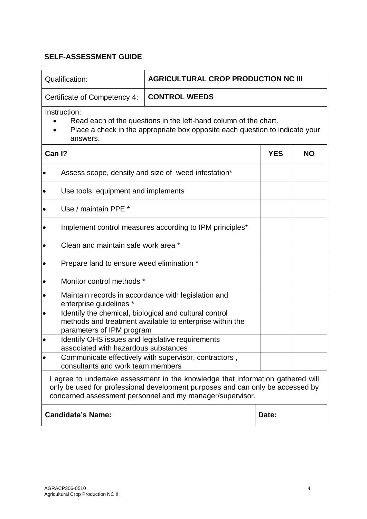| Qualification:                                                                                                                                                                                                                 | <b>AGRICULTURAL CROP PRODUCTION NC III</b>               |            |           |  |
|--------------------------------------------------------------------------------------------------------------------------------------------------------------------------------------------------------------------------------|----------------------------------------------------------|------------|-----------|--|
| Certificate of Competency 4:                                                                                                                                                                                                   | <b>CONTROL WEEDS</b>                                     |            |           |  |
| Instruction:<br>Read each of the questions in the left-hand column of the chart.<br>Place a check in the appropriate box opposite each question to indicate your<br>answers.                                                   |                                                          |            |           |  |
| Can I?                                                                                                                                                                                                                         |                                                          | <b>YES</b> | <b>NO</b> |  |
|                                                                                                                                                                                                                                | Assess scope, density and size of weed infestation*      |            |           |  |
| Use tools, equipment and implements                                                                                                                                                                                            |                                                          |            |           |  |
| Use / maintain PPE *                                                                                                                                                                                                           |                                                          |            |           |  |
|                                                                                                                                                                                                                                | Implement control measures according to IPM principles*  |            |           |  |
| Clean and maintain safe work area *                                                                                                                                                                                            |                                                          |            |           |  |
| Prepare land to ensure weed elimination *<br>$\bullet$                                                                                                                                                                         |                                                          |            |           |  |
| Monitor control methods *                                                                                                                                                                                                      |                                                          |            |           |  |
| Maintain records in accordance with legislation and<br>٠<br>enterprise guidelines *                                                                                                                                            |                                                          |            |           |  |
| Identify the chemical, biological and cultural control<br>٠<br>parameters of IPM program                                                                                                                                       | methods and treatment available to enterprise within the |            |           |  |
| Identify OHS issues and legislative requirements<br>associated with hazardous substances                                                                                                                                       |                                                          |            |           |  |
| consultants and work team members                                                                                                                                                                                              | Communicate effectively with supervisor, contractors,    |            |           |  |
| I agree to undertake assessment in the knowledge that information gathered will<br>only be used for professional development purposes and can only be accessed by<br>concerned assessment personnel and my manager/supervisor. |                                                          |            |           |  |
| <b>Candidate's Name:</b>                                                                                                                                                                                                       | Date:                                                    |            |           |  |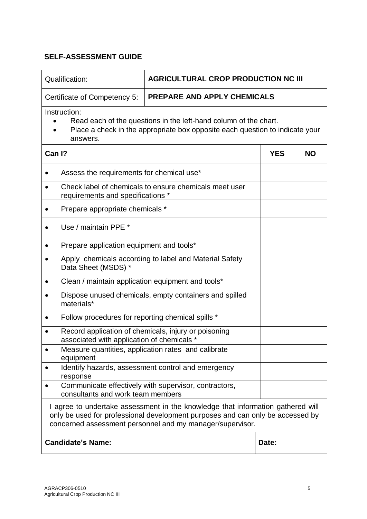| Qualification:                                                                                                                                                                                                                 | <b>AGRICULTURAL CROP PRODUCTION NC III</b>             |            |           |  |
|--------------------------------------------------------------------------------------------------------------------------------------------------------------------------------------------------------------------------------|--------------------------------------------------------|------------|-----------|--|
| Certificate of Competency 5:                                                                                                                                                                                                   | <b>PREPARE AND APPLY CHEMICALS</b>                     |            |           |  |
| Instruction:<br>Read each of the questions in the left-hand column of the chart.<br>Place a check in the appropriate box opposite each question to indicate your<br>answers.                                                   |                                                        |            |           |  |
| Can I?                                                                                                                                                                                                                         |                                                        | <b>YES</b> | <b>NO</b> |  |
| Assess the requirements for chemical use*                                                                                                                                                                                      |                                                        |            |           |  |
| requirements and specifications *                                                                                                                                                                                              | Check label of chemicals to ensure chemicals meet user |            |           |  |
| Prepare appropriate chemicals *                                                                                                                                                                                                |                                                        |            |           |  |
| Use / maintain PPE *                                                                                                                                                                                                           |                                                        |            |           |  |
| Prepare application equipment and tools*                                                                                                                                                                                       |                                                        |            |           |  |
| Data Sheet (MSDS) *                                                                                                                                                                                                            | Apply chemicals according to label and Material Safety |            |           |  |
| Clean / maintain application equipment and tools*                                                                                                                                                                              |                                                        |            |           |  |
| materials*                                                                                                                                                                                                                     | Dispose unused chemicals, empty containers and spilled |            |           |  |
| Follow procedures for reporting chemical spills *                                                                                                                                                                              |                                                        |            |           |  |
| associated with application of chemicals *                                                                                                                                                                                     | Record application of chemicals, injury or poisoning   |            |           |  |
| Measure quantities, application rates and calibrate<br>equipment                                                                                                                                                               |                                                        |            |           |  |
| $\bullet$<br>response                                                                                                                                                                                                          | Identify hazards, assessment control and emergency     |            |           |  |
| $\bullet$<br>consultants and work team members                                                                                                                                                                                 | Communicate effectively with supervisor, contractors,  |            |           |  |
| I agree to undertake assessment in the knowledge that information gathered will<br>only be used for professional development purposes and can only be accessed by<br>concerned assessment personnel and my manager/supervisor. |                                                        |            |           |  |
| <b>Candidate's Name:</b><br>Date:                                                                                                                                                                                              |                                                        |            |           |  |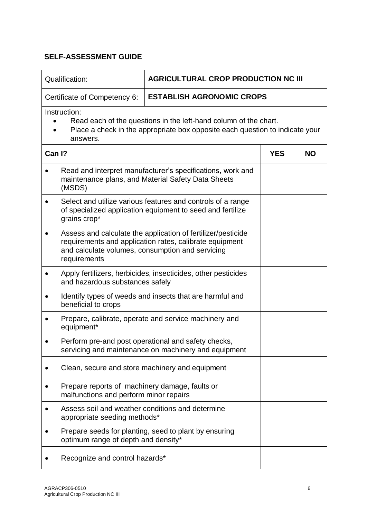| Qualification:<br><b>AGRICULTURAL CROP PRODUCTION NC III</b>                                                                                                                                |                                                                                                                           |            |           |
|---------------------------------------------------------------------------------------------------------------------------------------------------------------------------------------------|---------------------------------------------------------------------------------------------------------------------------|------------|-----------|
| Certificate of Competency 6:                                                                                                                                                                | <b>ESTABLISH AGRONOMIC CROPS</b>                                                                                          |            |           |
| Instruction:<br>Read each of the questions in the left-hand column of the chart.<br>Place a check in the appropriate box opposite each question to indicate your<br>answers.                |                                                                                                                           |            |           |
| Can I?                                                                                                                                                                                      |                                                                                                                           | <b>YES</b> | <b>NO</b> |
| (MSDS)                                                                                                                                                                                      | Read and interpret manufacturer's specifications, work and<br>maintenance plans, and Material Safety Data Sheets          |            |           |
| grains crop*                                                                                                                                                                                | Select and utilize various features and controls of a range<br>of specialized application equipment to seed and fertilize |            |           |
| Assess and calculate the application of fertilizer/pesticide<br>requirements and application rates, calibrate equipment<br>and calculate volumes, consumption and servicing<br>requirements |                                                                                                                           |            |           |
| and hazardous substances safely                                                                                                                                                             | Apply fertilizers, herbicides, insecticides, other pesticides                                                             |            |           |
| beneficial to crops                                                                                                                                                                         | Identify types of weeds and insects that are harmful and                                                                  |            |           |
| equipment*                                                                                                                                                                                  | Prepare, calibrate, operate and service machinery and                                                                     |            |           |
|                                                                                                                                                                                             | Perform pre-and post operational and safety checks,<br>servicing and maintenance on machinery and equipment               |            |           |
|                                                                                                                                                                                             | Clean, secure and store machinery and equipment                                                                           |            |           |
| Prepare reports of machinery damage, faults or<br>malfunctions and perform minor repairs                                                                                                    |                                                                                                                           |            |           |
| Assess soil and weather conditions and determine<br>appropriate seeding methods*                                                                                                            |                                                                                                                           |            |           |
| optimum range of depth and density*                                                                                                                                                         | Prepare seeds for planting, seed to plant by ensuring                                                                     |            |           |
| Recognize and control hazards*                                                                                                                                                              |                                                                                                                           |            |           |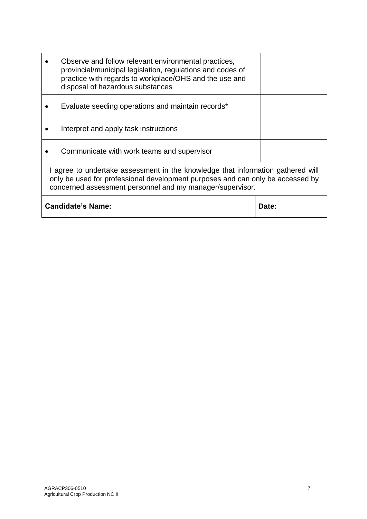|                                                                                                                                                                                                                                | Observe and follow relevant environmental practices,<br>provincial/municipal legislation, regulations and codes of<br>practice with regards to workplace/OHS and the use and<br>disposal of hazardous substances |  |  |
|--------------------------------------------------------------------------------------------------------------------------------------------------------------------------------------------------------------------------------|------------------------------------------------------------------------------------------------------------------------------------------------------------------------------------------------------------------|--|--|
|                                                                                                                                                                                                                                | Evaluate seeding operations and maintain records*                                                                                                                                                                |  |  |
|                                                                                                                                                                                                                                | Interpret and apply task instructions                                                                                                                                                                            |  |  |
|                                                                                                                                                                                                                                | Communicate with work teams and supervisor                                                                                                                                                                       |  |  |
| I agree to undertake assessment in the knowledge that information gathered will<br>only be used for professional development purposes and can only be accessed by<br>concerned assessment personnel and my manager/supervisor. |                                                                                                                                                                                                                  |  |  |
| <b>Candidate's Name:</b><br>Date:                                                                                                                                                                                              |                                                                                                                                                                                                                  |  |  |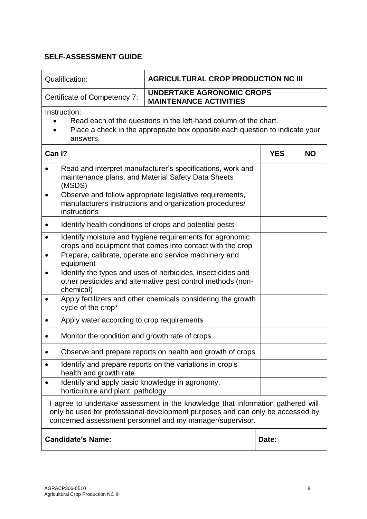| Qualification:                                                                                                                                                                                                                 | <b>AGRICULTURAL CROP PRODUCTION NC III</b>                                                                          |            |           |  |
|--------------------------------------------------------------------------------------------------------------------------------------------------------------------------------------------------------------------------------|---------------------------------------------------------------------------------------------------------------------|------------|-----------|--|
| Certificate of Competency 7:                                                                                                                                                                                                   | <b>UNDERTAKE AGRONOMIC CROPS</b><br><b>MAINTENANCE ACTIVITIES</b>                                                   |            |           |  |
| Instruction:<br>Read each of the questions in the left-hand column of the chart.<br>Place a check in the appropriate box opposite each question to indicate your<br>answers.                                                   |                                                                                                                     |            |           |  |
| Can I?                                                                                                                                                                                                                         |                                                                                                                     | <b>YES</b> | <b>NO</b> |  |
| (MSDS)                                                                                                                                                                                                                         | Read and interpret manufacturer's specifications, work and<br>maintenance plans, and Material Safety Data Sheets    |            |           |  |
| instructions                                                                                                                                                                                                                   | Observe and follow appropriate legislative requirements,<br>manufacturers instructions and organization procedures/ |            |           |  |
|                                                                                                                                                                                                                                | Identify health conditions of crops and potential pests                                                             |            |           |  |
| Identify moisture and hygiene requirements for agronomic<br>crops and equipment that comes into contact with the crop<br>Prepare, calibrate, operate and service machinery and                                                 |                                                                                                                     |            |           |  |
| equipment<br>Identify the types and uses of herbicides, insecticides and<br>other pesticides and alternative pest control methods (non-<br>chemical)                                                                           |                                                                                                                     |            |           |  |
| cycle of the crop*                                                                                                                                                                                                             | Apply fertilizers and other chemicals considering the growth                                                        |            |           |  |
| Apply water according to crop requirements                                                                                                                                                                                     |                                                                                                                     |            |           |  |
| Monitor the condition and growth rate of crops                                                                                                                                                                                 |                                                                                                                     |            |           |  |
|                                                                                                                                                                                                                                | Observe and prepare reports on health and growth of crops                                                           |            |           |  |
| $\bullet$<br>health and growth rate                                                                                                                                                                                            | Identify and prepare reports on the variations in crop's                                                            |            |           |  |
| Identify and apply basic knowledge in agronomy,<br>horticulture and plant pathology                                                                                                                                            |                                                                                                                     |            |           |  |
| I agree to undertake assessment in the knowledge that information gathered will<br>only be used for professional development purposes and can only be accessed by<br>concerned assessment personnel and my manager/supervisor. |                                                                                                                     |            |           |  |
| <b>Candidate's Name:</b><br>Date:                                                                                                                                                                                              |                                                                                                                     |            |           |  |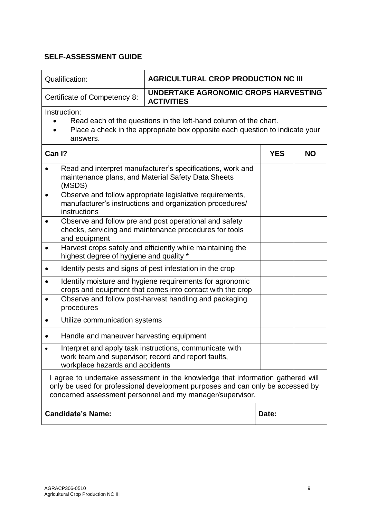| Qualification:                                                                                                                                                                                                                 | <b>AGRICULTURAL CROP PRODUCTION NC III</b>                                                                                                       |            |           |  |  |
|--------------------------------------------------------------------------------------------------------------------------------------------------------------------------------------------------------------------------------|--------------------------------------------------------------------------------------------------------------------------------------------------|------------|-----------|--|--|
| Certificate of Competency 8:                                                                                                                                                                                                   | UNDERTAKE AGRONOMIC CROPS HARVESTING<br><b>ACTIVITIES</b>                                                                                        |            |           |  |  |
| Instruction:<br>answers.                                                                                                                                                                                                       | Read each of the questions in the left-hand column of the chart.<br>Place a check in the appropriate box opposite each question to indicate your |            |           |  |  |
| Can I?                                                                                                                                                                                                                         |                                                                                                                                                  | <b>YES</b> | <b>NO</b> |  |  |
| (MSDS)                                                                                                                                                                                                                         | Read and interpret manufacturer's specifications, work and<br>maintenance plans, and Material Safety Data Sheets                                 |            |           |  |  |
| instructions                                                                                                                                                                                                                   | Observe and follow appropriate legislative requirements,<br>manufacturer's instructions and organization procedures/                             |            |           |  |  |
| $\bullet$<br>and equipment                                                                                                                                                                                                     | Observe and follow pre and post operational and safety<br>checks, servicing and maintenance procedures for tools                                 |            |           |  |  |
| $\bullet$<br>highest degree of hygiene and quality *                                                                                                                                                                           | Harvest crops safely and efficiently while maintaining the                                                                                       |            |           |  |  |
|                                                                                                                                                                                                                                | Identify pests and signs of pest infestation in the crop                                                                                         |            |           |  |  |
| Identify moisture and hygiene requirements for agronomic<br>crops and equipment that comes into contact with the crop                                                                                                          |                                                                                                                                                  |            |           |  |  |
| procedures                                                                                                                                                                                                                     | Observe and follow post-harvest handling and packaging                                                                                           |            |           |  |  |
| Utilize communication systems                                                                                                                                                                                                  |                                                                                                                                                  |            |           |  |  |
| Handle and maneuver harvesting equipment                                                                                                                                                                                       |                                                                                                                                                  |            |           |  |  |
| work team and supervisor; record and report faults,<br>workplace hazards and accidents                                                                                                                                         | Interpret and apply task instructions, communicate with                                                                                          |            |           |  |  |
| I agree to undertake assessment in the knowledge that information gathered will<br>only be used for professional development purposes and can only be accessed by<br>concerned assessment personnel and my manager/supervisor. |                                                                                                                                                  |            |           |  |  |
| <b>Candidate's Name:</b>                                                                                                                                                                                                       |                                                                                                                                                  | Date:      |           |  |  |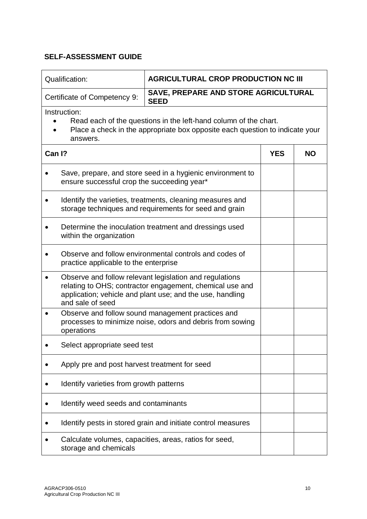| Qualification:<br><b>AGRICULTURAL CROP PRODUCTION NC III</b>                                                                                                                                                      |                                                                                                                     |  |  |  |  |
|-------------------------------------------------------------------------------------------------------------------------------------------------------------------------------------------------------------------|---------------------------------------------------------------------------------------------------------------------|--|--|--|--|
| Certificate of Competency 9:                                                                                                                                                                                      | SAVE, PREPARE AND STORE AGRICULTURAL<br><b>SEED</b>                                                                 |  |  |  |  |
| Instruction:<br>Read each of the questions in the left-hand column of the chart.<br>Place a check in the appropriate box opposite each question to indicate your<br>answers.                                      |                                                                                                                     |  |  |  |  |
| Can I?                                                                                                                                                                                                            | <b>YES</b><br><b>NO</b>                                                                                             |  |  |  |  |
| ensure successful crop the succeeding year*                                                                                                                                                                       | Save, prepare, and store seed in a hygienic environment to                                                          |  |  |  |  |
| ٠                                                                                                                                                                                                                 | Identify the varieties, treatments, cleaning measures and<br>storage techniques and requirements for seed and grain |  |  |  |  |
| within the organization                                                                                                                                                                                           | Determine the inoculation treatment and dressings used                                                              |  |  |  |  |
|                                                                                                                                                                                                                   | Observe and follow environmental controls and codes of<br>practice applicable to the enterprise                     |  |  |  |  |
| Observe and follow relevant legislation and regulations<br>$\bullet$<br>relating to OHS; contractor engagement, chemical use and<br>application; vehicle and plant use; and the use, handling<br>and sale of seed |                                                                                                                     |  |  |  |  |
| operations                                                                                                                                                                                                        | Observe and follow sound management practices and<br>processes to minimize noise, odors and debris from sowing      |  |  |  |  |
| Select appropriate seed test                                                                                                                                                                                      |                                                                                                                     |  |  |  |  |
| Apply pre and post harvest treatment for seed                                                                                                                                                                     |                                                                                                                     |  |  |  |  |
| Identify varieties from growth patterns                                                                                                                                                                           |                                                                                                                     |  |  |  |  |
| Identify weed seeds and contaminants                                                                                                                                                                              |                                                                                                                     |  |  |  |  |
|                                                                                                                                                                                                                   | Identify pests in stored grain and initiate control measures                                                        |  |  |  |  |
| storage and chemicals                                                                                                                                                                                             | Calculate volumes, capacities, areas, ratios for seed,                                                              |  |  |  |  |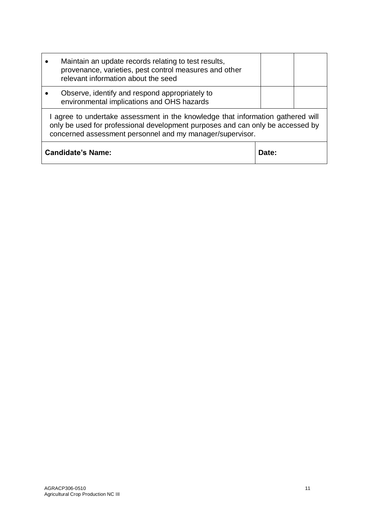|                                                                                                                                                                                                                                | Maintain an update records relating to test results,<br>provenance, varieties, pest control measures and other<br>relevant information about the seed |       |  |  |
|--------------------------------------------------------------------------------------------------------------------------------------------------------------------------------------------------------------------------------|-------------------------------------------------------------------------------------------------------------------------------------------------------|-------|--|--|
|                                                                                                                                                                                                                                | Observe, identify and respond appropriately to<br>environmental implications and OHS hazards                                                          |       |  |  |
| I agree to undertake assessment in the knowledge that information gathered will<br>only be used for professional development purposes and can only be accessed by<br>concerned assessment personnel and my manager/supervisor. |                                                                                                                                                       |       |  |  |
| <b>Candidate's Name:</b>                                                                                                                                                                                                       |                                                                                                                                                       | Date: |  |  |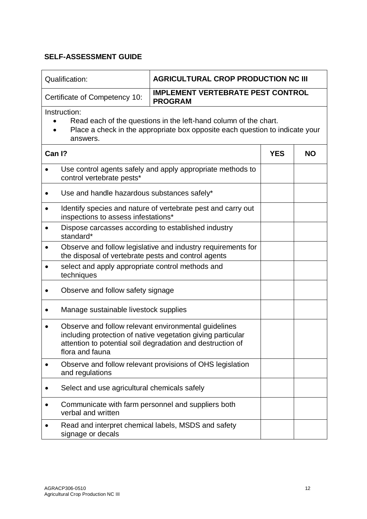| Qualification:                                                                                                                                                               | <b>AGRICULTURAL CROP PRODUCTION NC III</b>                                                                                                                                        |            |           |  |
|------------------------------------------------------------------------------------------------------------------------------------------------------------------------------|-----------------------------------------------------------------------------------------------------------------------------------------------------------------------------------|------------|-----------|--|
| Certificate of Competency 10:                                                                                                                                                | <b>IMPLEMENT VERTEBRATE PEST CONTROL</b><br><b>PROGRAM</b>                                                                                                                        |            |           |  |
| Instruction:<br>Read each of the questions in the left-hand column of the chart.<br>Place a check in the appropriate box opposite each question to indicate your<br>answers. |                                                                                                                                                                                   |            |           |  |
| Can I?                                                                                                                                                                       |                                                                                                                                                                                   | <b>YES</b> | <b>NO</b> |  |
| $\bullet$<br>control vertebrate pests*                                                                                                                                       | Use control agents safely and apply appropriate methods to                                                                                                                        |            |           |  |
| Use and handle hazardous substances safely*                                                                                                                                  |                                                                                                                                                                                   |            |           |  |
| $\bullet$<br>inspections to assess infestations*                                                                                                                             | Identify species and nature of vertebrate pest and carry out                                                                                                                      |            |           |  |
| Dispose carcasses according to established industry<br>$\bullet$<br>standard*                                                                                                |                                                                                                                                                                                   |            |           |  |
| Observe and follow legislative and industry requirements for<br>$\bullet$<br>the disposal of vertebrate pests and control agents                                             |                                                                                                                                                                                   |            |           |  |
| select and apply appropriate control methods and<br>techniques                                                                                                               |                                                                                                                                                                                   |            |           |  |
| Observe and follow safety signage                                                                                                                                            |                                                                                                                                                                                   |            |           |  |
| Manage sustainable livestock supplies                                                                                                                                        |                                                                                                                                                                                   |            |           |  |
| flora and fauna                                                                                                                                                              | Observe and follow relevant environmental guidelines<br>including protection of native vegetation giving particular<br>attention to potential soil degradation and destruction of |            |           |  |
| $\bullet$<br>and regulations                                                                                                                                                 | Observe and follow relevant provisions of OHS legislation                                                                                                                         |            |           |  |
| Select and use agricultural chemicals safely                                                                                                                                 |                                                                                                                                                                                   |            |           |  |
| verbal and written                                                                                                                                                           | Communicate with farm personnel and suppliers both                                                                                                                                |            |           |  |
| signage or decals                                                                                                                                                            | Read and interpret chemical labels, MSDS and safety                                                                                                                               |            |           |  |